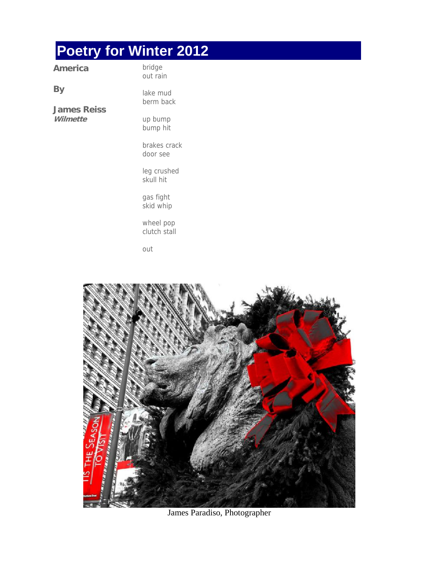## **Poetry for Winter 2012**

| America           | bridge<br>out rain    |
|-------------------|-----------------------|
| Вy<br>James Reiss | lake mud<br>berm back |
| Wilmette          | up bump<br>bump hit   |
|                   |                       |

brakes crack door see

leg crushed skull hit

gas fight skid whip

wheel pop clutch stall

out



James Paradiso, Photographer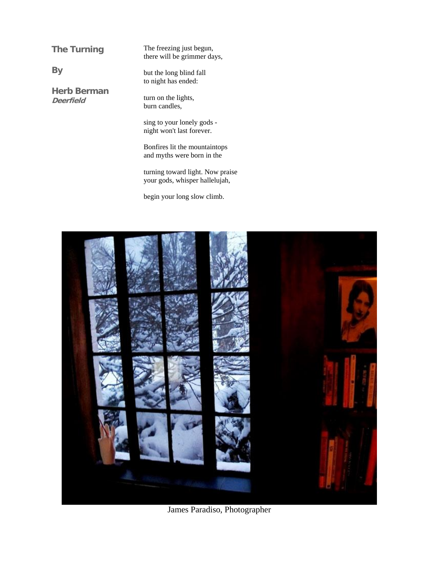**The Turning** 

**Herb Berman Deerfield**

**By** 

The freezing just begun, there will be grimmer days,

but the long blind fall to night has ended:

turn on the lights, burn candles,

sing to your lonely gods night won't last forever.

Bonfires lit the mountaintops and myths were born in the

turning toward light. Now praise your gods, whisper hallelujah,

begin your long slow climb.



James Paradiso, Photographer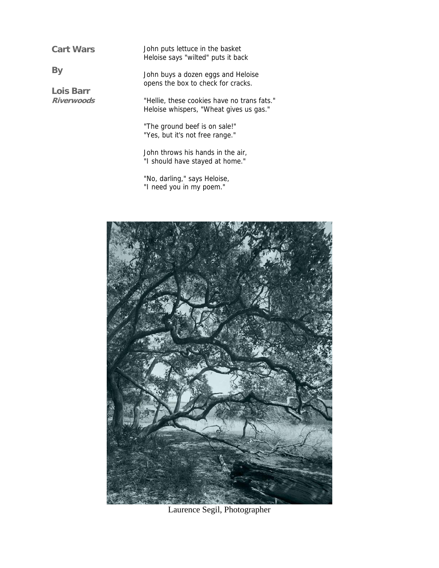**Cart Wars** 

**Lois Barr Riverwoods**

**By** 

John puts lettuce in the basket Heloise says "wilted" puts it back

John buys a dozen eggs and Heloise opens the box to check for cracks.

"Hellie, these cookies have no trans fats." Heloise whispers, "Wheat gives us gas."

"The ground beef is on sale!" "Yes, but it's not free range."

John throws his hands in the air, "I should have stayed at home."

"No, darling," says Heloise, "I need you in my poem."



Laurence Segil, Photographer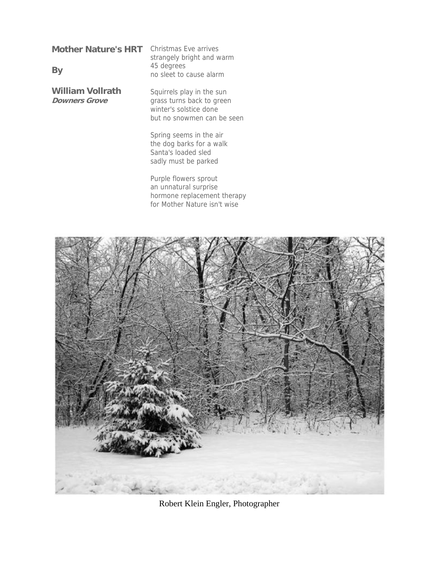**Mother Nature's HRT**  Christmas Eve arrives

**By** 

**William Vollrath Downers Grove**

strangely bright and warm 45 degrees no sleet to cause alarm

Squirrels play in the sun grass turns back to green winter's solstice done but no snowmen can be seen

Spring seems in the air the dog barks for a walk Santa's loaded sled sadly must be parked

Purple flowers sprout an unnatural surprise hormone replacement therapy for Mother Nature isn't wise



Robert Klein Engler, Photographer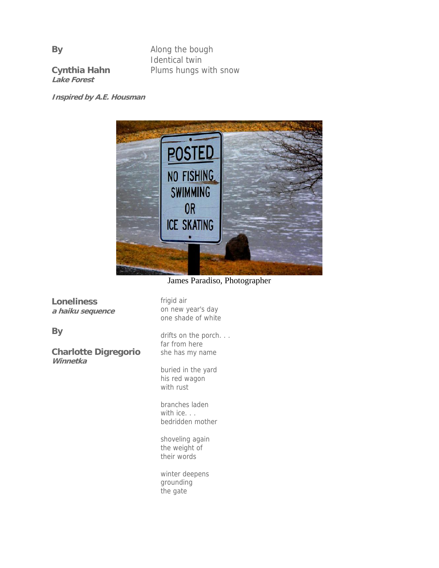Along the bough Identical twin Plums hungs with snow

**Cynthia Hahn Lake Forest** 

**Inspired by A.E. Housman**



James Paradiso, Photographer

**Loneliness a haiku sequence**

**By** 

**Charlotte Digregorio Winnetka**

frigid air on new year's day one shade of white

drifts on the porch... far from here she has my name

buried in the yard his red wagon with rust

branches laden with ice. . . bedridden mother

shoveling again the weight of their words

winter deepens grounding the gate

**By**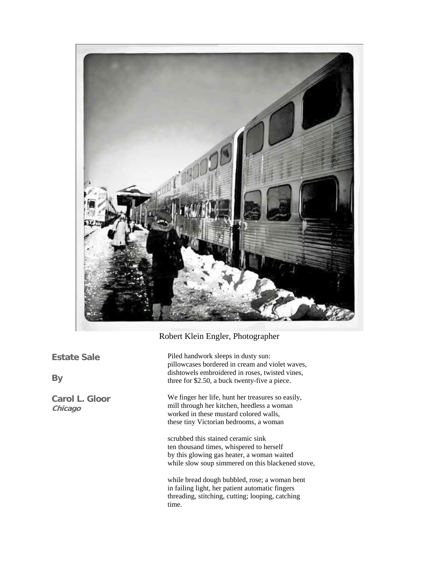

## Robert Klein Engler, Photographer

**Estate Sale** 

**By** 

**Carol L. Gloor Chicago**

Piled handwork sleeps in dusty sun: pillowcases bordered in cream and violet waves, dishtowels embroidered in roses, twisted vines, three for \$2.50, a buck twenty-five a piece.

We finger her life, hunt her treasures so easily, mill through her kitchen, heedless a woman worked in these mustard colored walls, these tiny Victorian bedrooms, a woman

scrubbed this stained ceramic sink ten thousand times, whispered to herself by this glowing gas heater, a woman waited while slow soup simmered on this blackened stove,

while bread dough bubbled, rose; a woman bent in failing light, her patient automatic fingers threading, stitching, cutting; looping, catching time.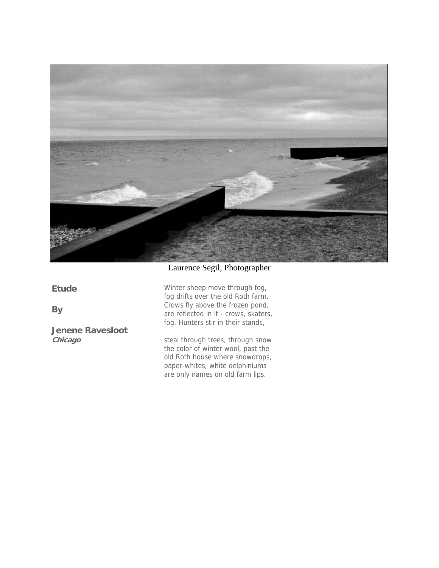

## Laurence Segil, Photographer

**Etude** 

**By** 

**Jenene Ravesloot Chicago**

Winter sheep move through fog, fog drifts over the old Roth farm. Crows fly above the frozen pond, are reflected in it - crows, skaters, fog. Hunters stir in their stands,

steal through trees, through snow the color of winter wool, past the old Roth house where snowdrops, paper-whites, white delphiniums are only names on old farm lips.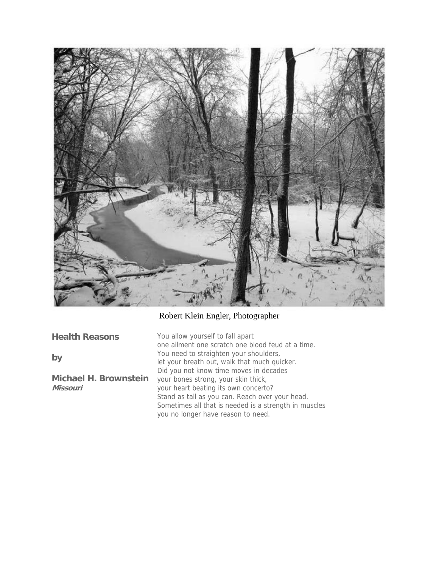

## Robert Klein Engler, Photographer

| <b>Health Reasons</b>                    | You allow yourself to fall apart<br>one ailment one scratch one blood feud at a time.                                                          |
|------------------------------------------|------------------------------------------------------------------------------------------------------------------------------------------------|
| by                                       | You need to straighten your shoulders,<br>let your breath out, walk that much quicker.                                                         |
| <b>Michael H. Brownstein</b><br>Missouri | Did you not know time moves in decades<br>your bones strong, your skin thick,<br>your heart beating its own concerto?                          |
|                                          | Stand as tall as you can. Reach over your head.<br>Sometimes all that is needed is a strength in muscles<br>you no longer have reason to need. |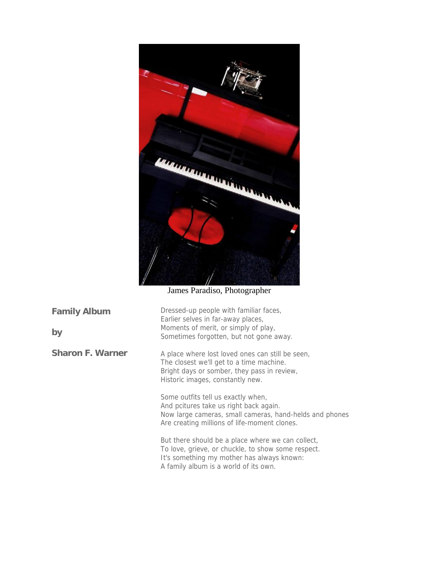

James Paradiso, Photographer

| <b>Family Album</b><br>by | Dressed-up people with familiar faces,<br>Earlier selves in far-away places,<br>Moments of merit, or simply of play,<br>Sometimes forgotten, but not gone away.                                |
|---------------------------|------------------------------------------------------------------------------------------------------------------------------------------------------------------------------------------------|
| <b>Sharon F. Warner</b>   | A place where lost loved ones can still be seen,<br>The closest we'll get to a time machine.<br>Bright days or somber, they pass in review,<br>Historic images, constantly new.                |
|                           | Some outfits tell us exactly when,<br>And pcitures take us right back again.<br>Now large cameras, small cameras, hand-helds and phones<br>Are creating millions of life-moment clones.        |
|                           | But there should be a place where we can collect,<br>To love, grieve, or chuckle, to show some respect.<br>It's something my mother has always known:<br>A family album is a world of its own. |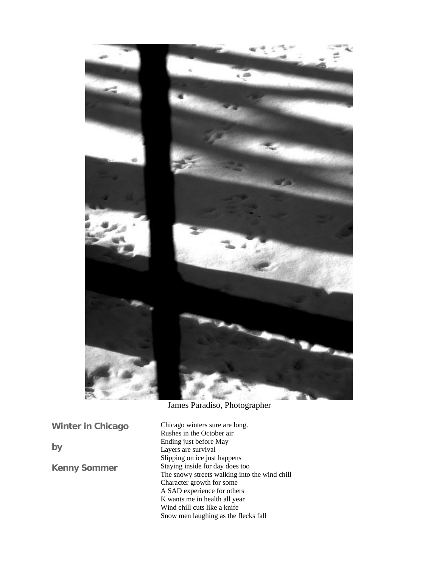

James Paradiso, Photographer

**Winter in Chicago** 

**by** 

**Kenny Sommer** 

Chicago winters sure are long. Rushes in the October air Ending just before May Layers are survival Slipping on ice just happens Staying inside for day does too The snowy streets walking into the wind chill Character growth for some A SAD experience for others K wants me in health all year Wind chill cuts like a knife Snow men laughing as the flecks fall